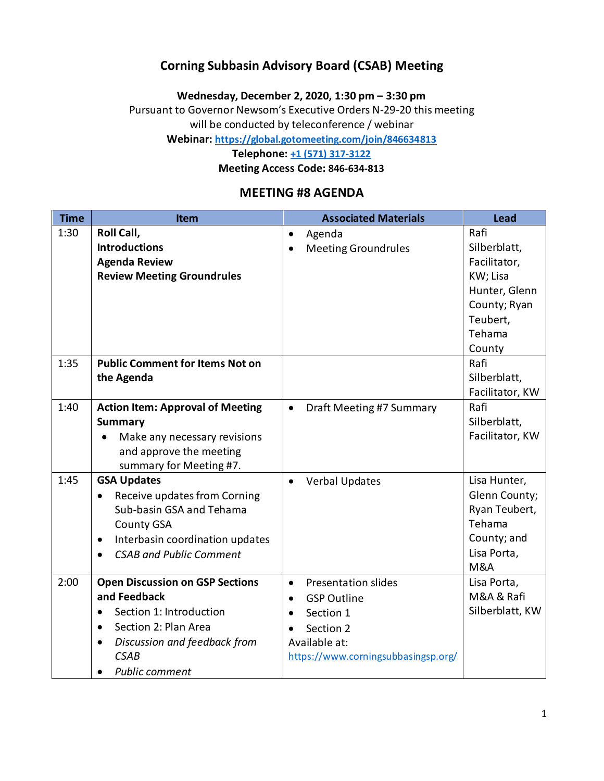### **Corning Subbasin Advisory Board (CSAB) Meeting**

**Wednesday, December 2, 2020, 1:30 pm – 3:30 pm**

Pursuant to Governor Newsom's Executive Orders N-29-20 this meeting will be conducted by teleconference / webinar

**Webinar:<https://global.gotomeeting.com/join/846634813>**

**Telephone: [+1 \(571\) 317-3122](tel:+15713173122,,846634813)**

**Meeting Access Code: 846-634-813**

### **MEETING #8 AGENDA**

| <b>Time</b> | Item                                         | <b>Associated Materials</b>           | <b>Lead</b>     |
|-------------|----------------------------------------------|---------------------------------------|-----------------|
| 1:30        | Roll Call,                                   | Agenda<br>$\bullet$                   | Rafi            |
|             | <b>Introductions</b>                         | <b>Meeting Groundrules</b>            | Silberblatt,    |
|             | <b>Agenda Review</b>                         |                                       | Facilitator,    |
|             | <b>Review Meeting Groundrules</b>            |                                       | KW; Lisa        |
|             |                                              |                                       | Hunter, Glenn   |
|             |                                              |                                       | County; Ryan    |
|             |                                              |                                       | Teubert,        |
|             |                                              |                                       | Tehama          |
|             |                                              |                                       | County          |
| 1:35        | <b>Public Comment for Items Not on</b>       |                                       | Rafi            |
|             | the Agenda                                   |                                       | Silberblatt,    |
|             |                                              |                                       | Facilitator, KW |
| 1:40        | <b>Action Item: Approval of Meeting</b>      | Draft Meeting #7 Summary<br>$\bullet$ | Rafi            |
|             | <b>Summary</b>                               |                                       | Silberblatt,    |
|             | Make any necessary revisions                 |                                       | Facilitator, KW |
|             | and approve the meeting                      |                                       |                 |
|             | summary for Meeting #7.                      |                                       |                 |
| 1:45        | <b>GSA Updates</b>                           | <b>Verbal Updates</b><br>$\bullet$    | Lisa Hunter,    |
|             | Receive updates from Corning<br>$\bullet$    |                                       | Glenn County;   |
|             | Sub-basin GSA and Tehama                     |                                       | Ryan Teubert,   |
|             | <b>County GSA</b>                            |                                       | Tehama          |
|             | Interbasin coordination updates<br>$\bullet$ |                                       | County; and     |
|             | <b>CSAB and Public Comment</b>               |                                       | Lisa Porta,     |
|             |                                              |                                       | <b>M&amp;A</b>  |
| 2:00        | <b>Open Discussion on GSP Sections</b>       | Presentation slides<br>$\bullet$      | Lisa Porta,     |
|             | and Feedback                                 | <b>GSP Outline</b><br>$\bullet$       | M&A & Rafi      |
|             | Section 1: Introduction                      | Section 1<br>$\bullet$                | Silberblatt, KW |
|             | Section 2: Plan Area<br>$\bullet$            | Section 2<br>$\bullet$                |                 |
|             | Discussion and feedback from<br>$\bullet$    | Available at:                         |                 |
|             | <b>CSAB</b>                                  | https://www.corningsubbasingsp.org/   |                 |
|             | <b>Public comment</b>                        |                                       |                 |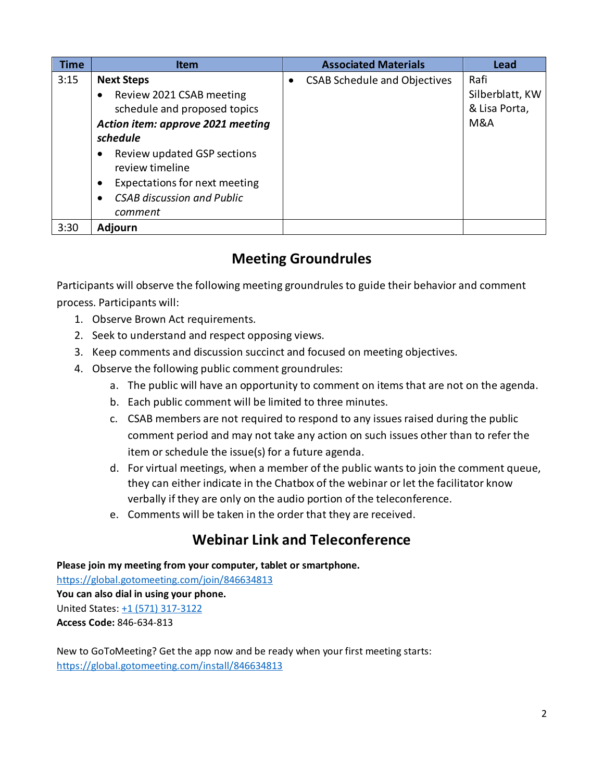| <b>Time</b> | <b>Item</b>                                                                                                                                                                                                                                                                                                   | <b>Associated Materials</b>         | <b>Lead</b>                                     |
|-------------|---------------------------------------------------------------------------------------------------------------------------------------------------------------------------------------------------------------------------------------------------------------------------------------------------------------|-------------------------------------|-------------------------------------------------|
| 3:15        | <b>Next Steps</b><br>Review 2021 CSAB meeting<br>$\bullet$<br>schedule and proposed topics<br>Action item: approve 2021 meeting<br>schedule<br>Review updated GSP sections<br>٠<br>review timeline<br>Expectations for next meeting<br>$\bullet$<br><b>CSAB discussion and Public</b><br>$\bullet$<br>comment | <b>CSAB Schedule and Objectives</b> | Rafi<br>Silberblatt, KW<br>& Lisa Porta,<br>M&A |
| 3:30        | <b>Adjourn</b>                                                                                                                                                                                                                                                                                                |                                     |                                                 |

# **Meeting Groundrules**

Participants will observe the following meeting groundrules to guide their behavior and comment process. Participants will:

- 1. Observe Brown Act requirements.
- 2. Seek to understand and respect opposing views.
- 3. Keep comments and discussion succinct and focused on meeting objectives.
- 4. Observe the following public comment groundrules:
	- a. The public will have an opportunity to comment on items that are not on the agenda.
	- b. Each public comment will be limited to three minutes.
	- c. CSAB members are not required to respond to any issues raised during the public comment period and may not take any action on such issues other than to refer the item or schedule the issue(s) for a future agenda.
	- d. For virtual meetings, when a member of the public wants to join the comment queue, they can either indicate in the Chatbox of the webinar or let the facilitator know verbally if they are only on the audio portion of the teleconference.
	- e. Comments will be taken in the order that they are received.

## **Webinar Link and Teleconference**

**Please join my meeting from your computer, tablet or smartphone.** 

<https://global.gotomeeting.com/join/846634813> **You can also dial in using your phone.** United States: [+1 \(571\) 317-3122](tel:+15713173122,,846634813) **Access Code:** 846-634-813

New to GoToMeeting? Get the app now and be ready when your first meeting starts: <https://global.gotomeeting.com/install/846634813>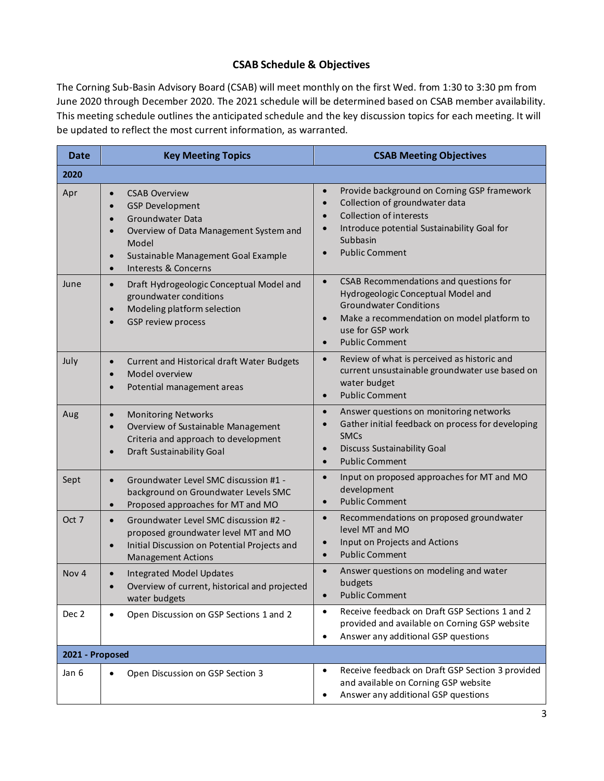#### **CSAB Schedule & Objectives**

The Corning Sub-Basin Advisory Board (CSAB) will meet monthly on the first Wed. from 1:30 to 3:30 pm from June 2020 through December 2020. The 2021 schedule will be determined based on CSAB member availability. This meeting schedule outlines the anticipated schedule and the key discussion topics for each meeting. It will be updated to reflect the most current information, as warranted.

| <b>Date</b>      | <b>Key Meeting Topics</b>                                                                                                                                                                                                                                          | <b>CSAB Meeting Objectives</b>                                                                                                                                                                                                                  |  |
|------------------|--------------------------------------------------------------------------------------------------------------------------------------------------------------------------------------------------------------------------------------------------------------------|-------------------------------------------------------------------------------------------------------------------------------------------------------------------------------------------------------------------------------------------------|--|
| 2020             |                                                                                                                                                                                                                                                                    |                                                                                                                                                                                                                                                 |  |
| Apr              | <b>CSAB Overview</b><br>$\bullet$<br><b>GSP Development</b><br>$\bullet$<br>Groundwater Data<br>$\bullet$<br>Overview of Data Management System and<br>$\bullet$<br>Model<br>Sustainable Management Goal Example<br>$\bullet$<br>Interests & Concerns<br>$\bullet$ | Provide background on Corning GSP framework<br>$\bullet$<br>Collection of groundwater data<br>$\bullet$<br>Collection of interests<br>Introduce potential Sustainability Goal for<br>Subbasin<br><b>Public Comment</b><br>$\bullet$             |  |
| June             | Draft Hydrogeologic Conceptual Model and<br>$\bullet$<br>groundwater conditions<br>Modeling platform selection<br>$\bullet$<br>GSP review process<br>$\bullet$                                                                                                     | CSAB Recommendations and questions for<br>$\bullet$<br>Hydrogeologic Conceptual Model and<br><b>Groundwater Conditions</b><br>Make a recommendation on model platform to<br>$\bullet$<br>use for GSP work<br><b>Public Comment</b><br>$\bullet$ |  |
| July             | Current and Historical draft Water Budgets<br>$\bullet$<br>Model overview<br>$\bullet$<br>Potential management areas<br>$\bullet$                                                                                                                                  | Review of what is perceived as historic and<br>$\bullet$<br>current unsustainable groundwater use based on<br>water budget<br><b>Public Comment</b><br>$\bullet$                                                                                |  |
| Aug              | <b>Monitoring Networks</b><br>$\bullet$<br>Overview of Sustainable Management<br>$\bullet$<br>Criteria and approach to development<br>Draft Sustainability Goal<br>$\bullet$                                                                                       | Answer questions on monitoring networks<br>$\bullet$<br>Gather initial feedback on process for developing<br><b>SMCs</b><br><b>Discuss Sustainability Goal</b><br>$\bullet$<br><b>Public Comment</b><br>$\bullet$                               |  |
| Sept             | Groundwater Level SMC discussion #1 -<br>$\bullet$<br>background on Groundwater Levels SMC<br>Proposed approaches for MT and MO<br>$\bullet$                                                                                                                       | Input on proposed approaches for MT and MO<br>$\bullet$<br>development<br><b>Public Comment</b><br>$\bullet$                                                                                                                                    |  |
| Oct 7            | Groundwater Level SMC discussion #2 -<br>$\bullet$<br>proposed groundwater level MT and MO<br>Initial Discussion on Potential Projects and<br>$\bullet$<br><b>Management Actions</b>                                                                               | Recommendations on proposed groundwater<br>$\bullet$<br>level MT and MO<br>Input on Projects and Actions<br><b>Public Comment</b><br>$\bullet$                                                                                                  |  |
| Nov <sub>4</sub> | <b>Integrated Model Updates</b><br>Overview of current, historical and projected<br>water budgets                                                                                                                                                                  | Answer questions on modeling and water<br>$\bullet$<br>budgets<br><b>Public Comment</b><br>$\bullet$                                                                                                                                            |  |
| Dec 2            | Open Discussion on GSP Sections 1 and 2<br>$\bullet$                                                                                                                                                                                                               | Receive feedback on Draft GSP Sections 1 and 2<br>$\bullet$<br>provided and available on Corning GSP website<br>Answer any additional GSP questions<br>$\bullet$                                                                                |  |
| 2021 - Proposed  |                                                                                                                                                                                                                                                                    |                                                                                                                                                                                                                                                 |  |
| Jan 6            | Open Discussion on GSP Section 3<br>$\bullet$                                                                                                                                                                                                                      | Receive feedback on Draft GSP Section 3 provided<br>$\bullet$<br>and available on Corning GSP website<br>Answer any additional GSP questions<br>٠                                                                                               |  |